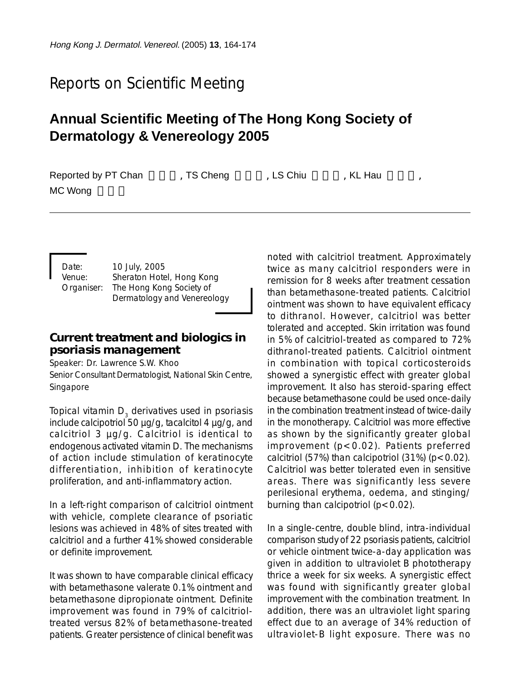# Reports on Scientific Meeting

# **Annual Scientific Meeting of The Hong Kong Society of Dermatology & Venereology 2005**

| Reported by PT Chan | , TS Cheng | LS Chiu | KL Hau |  |
|---------------------|------------|---------|--------|--|
| MC Wong             |            |         |        |  |

Date: 10 July, 2005 Venue: Sheraton Hotel, Hong Kong Organiser: The Hong Kong Society of Dermatology and Venereology

# **Current treatment and biologics in psoriasis management**

Speaker: Dr. Lawrence S.W. Khoo Senior Consultant Dermatologist, National Skin Centre, Singapore

Topical vitamin D<sub>2</sub> derivatives used in psoriasis include calcipotriol 50 µg/g, tacalcitol 4 µg/g, and calcitriol 3 µg/g. Calcitriol is identical to endogenous activated vitamin D. The mechanisms of action include stimulation of keratinocyte differentiation, inhibition of keratinocyte proliferation, and anti-inflammatory action.

In a left-right comparison of calcitriol ointment with vehicle, complete clearance of psoriatic lesions was achieved in 48% of sites treated with calcitriol and a further 41% showed considerable or definite improvement.

It was shown to have comparable clinical efficacy with betamethasone valerate 0.1% ointment and betamethasone dipropionate ointment. Definite improvement was found in 79% of calcitrioltreated versus 82% of betamethasone-treated patients. Greater persistence of clinical benefit was noted with calcitriol treatment. Approximately twice as many calcitriol responders were in remission for 8 weeks after treatment cessation than betamethasone-treated patients. Calcitriol ointment was shown to have equivalent efficacy to dithranol. However, calcitriol was better tolerated and accepted. Skin irritation was found in 5% of calcitriol-treated as compared to 72% dithranol-treated patients. Calcitriol ointment in combination with topical corticosteroids showed a synergistic effect with greater global improvement. It also has steroid-sparing effect because betamethasone could be used once-daily in the combination treatment instead of twice-daily in the monotherapy. Calcitriol was more effective as shown by the significantly greater global improvement (p<0.02). Patients preferred calcitriol (57%) than calcipotriol  $(31%)$  (p < 0.02). Calcitriol was better tolerated even in sensitive areas. There was significantly less severe perilesional erythema, oedema, and stinging/ burning than calcipotriol  $(p < 0.02)$ .

In a single-centre, double blind, intra-individual comparison study of 22 psoriasis patients, calcitriol or vehicle ointment twice-a-day application was given in addition to ultraviolet B phototherapy thrice a week for six weeks. A synergistic effect was found with significantly greater global improvement with the combination treatment. In addition, there was an ultraviolet light sparing effect due to an average of 34% reduction of ultraviolet-B light exposure. There was no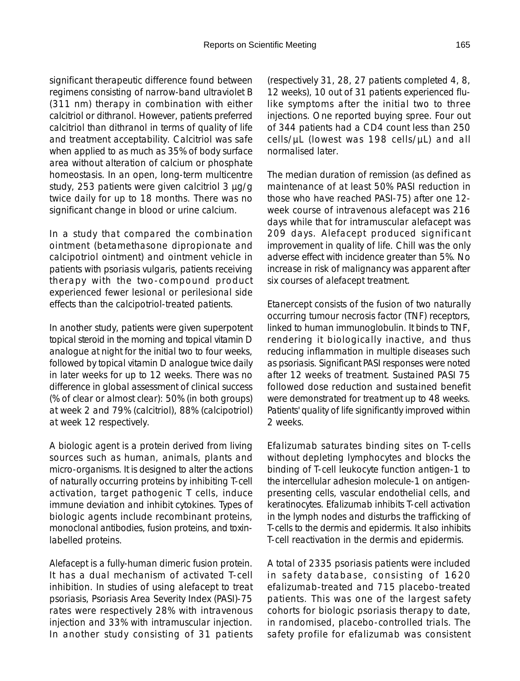significant therapeutic difference found between regimens consisting of narrow-band ultraviolet B (311 nm) therapy in combination with either calcitriol or dithranol. However, patients preferred calcitriol than dithranol in terms of quality of life and treatment acceptability. Calcitriol was safe when applied to as much as 35% of body surface area without alteration of calcium or phosphate homeostasis. In an open, long-term multicentre study, 253 patients were given calcitriol 3 µg/g twice daily for up to 18 months. There was no significant change in blood or urine calcium.

In a study that compared the combination ointment (betamethasone dipropionate and calcipotriol ointment) and ointment vehicle in patients with psoriasis vulgaris, patients receiving therapy with the two-compound product experienced fewer lesional or perilesional side effects than the calcipotriol-treated patients.

In another study, patients were given superpotent topical steroid in the morning and topical vitamin D analogue at night for the initial two to four weeks, followed by topical vitamin D analogue twice daily in later weeks for up to 12 weeks. There was no difference in global assessment of clinical success (% of clear or almost clear): 50% (in both groups) at week 2 and 79% (calcitriol), 88% (calcipotriol) at week 12 respectively.

A biologic agent is a protein derived from living sources such as human, animals, plants and micro-organisms. It is designed to alter the actions of naturally occurring proteins by inhibiting T-cell activation, target pathogenic T cells, induce immune deviation and inhibit cytokines. Types of biologic agents include recombinant proteins, monoclonal antibodies, fusion proteins, and toxinlabelled proteins.

Alefacept is a fully-human dimeric fusion protein. It has a dual mechanism of activated T-cell inhibition. In studies of using alefacept to treat psoriasis, Psoriasis Area Severity Index (PASI)-75 rates were respectively 28% with intravenous injection and 33% with intramuscular injection. In another study consisting of 31 patients (respectively 31, 28, 27 patients completed 4, 8, 12 weeks), 10 out of 31 patients experienced flulike symptoms after the initial two to three injections. One reported buying spree. Four out of 344 patients had a CD4 count less than 250 cells/µL (lowest was 198 cells/µL) and all normalised later.

The median duration of remission (as defined as maintenance of at least 50% PASI reduction in those who have reached PASI-75) after one 12 week course of intravenous alefacept was 216 days while that for intramuscular alefacept was 209 days. Alefacept produced significant improvement in quality of life. Chill was the only adverse effect with incidence greater than 5%. No increase in risk of malignancy was apparent after six courses of alefacept treatment.

Etanercept consists of the fusion of two naturally occurring tumour necrosis factor (TNF) receptors, linked to human immunoglobulin. It binds to TNF, rendering it biologically inactive, and thus reducing inflammation in multiple diseases such as psoriasis. Significant PASI responses were noted after 12 weeks of treatment. Sustained PASI 75 followed dose reduction and sustained benefit were demonstrated for treatment up to 48 weeks. Patients' quality of life significantly improved within 2 weeks.

Efalizumab saturates binding sites on T-cells without depleting lymphocytes and blocks the binding of T-cell leukocyte function antigen-1 to the intercellular adhesion molecule-1 on antigenpresenting cells, vascular endothelial cells, and keratinocytes. Efalizumab inhibits T-cell activation in the lymph nodes and disturbs the trafficking of T-cells to the dermis and epidermis. It also inhibits T-cell reactivation in the dermis and epidermis.

A total of 2335 psoriasis patients were included in safety database, consisting of 1620 efalizumab-treated and 715 placebo-treated patients. This was one of the largest safety cohorts for biologic psoriasis therapy to date, in randomised, placebo-controlled trials. The safety profile for efalizumab was consistent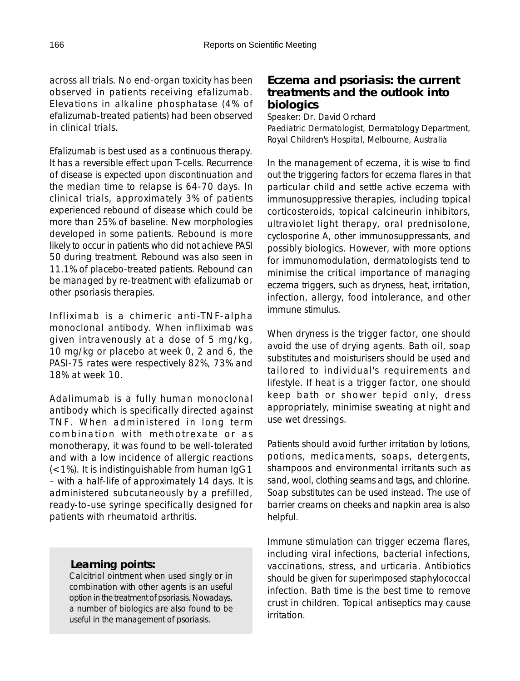across all trials. No end-organ toxicity has been observed in patients receiving efalizumab. Elevations in alkaline phosphatase (4% of efalizumab-treated patients) had been observed in clinical trials.

Efalizumab is best used as a continuous therapy. It has a reversible effect upon T-cells. Recurrence of disease is expected upon discontinuation and the median time to relapse is 64-70 days. In clinical trials, approximately 3% of patients experienced rebound of disease which could be more than 25% of baseline. New morphologies developed in some patients. Rebound is more likely to occur in patients who did not achieve PASI 50 during treatment. Rebound was also seen in 11.1% of placebo-treated patients. Rebound can be managed by re-treatment with efalizumab or other psoriasis therapies.

Infliximab is a chimeric anti-TNF-alpha monoclonal antibody. When infliximab was given intravenously at a dose of 5 mg/kg, 10 mg/kg or placebo at week 0, 2 and 6, the PASI-75 rates were respectively 82%, 73% and 18% at week 10.

Adalimumab is a fully human monoclonal antibody which is specifically directed against TNF. When administered in long term combination with methotrexate or as monotherapy, it was found to be well-tolerated and with a low incidence of allergic reactions (<1%). It is indistinguishable from human IgG1 – with a half-life of approximately 14 days. It is administered subcutaneously by a prefilled, ready-to-use syringe specifically designed for patients with rheumatoid arthritis.

## *Learning points:*

Calcitriol ointment when used singly or in combination with other agents is an useful option in the treatment of psoriasis. Nowadays, a number of biologics are also found to be useful in the management of psoriasis.

# **Eczema and psoriasis: the current treatments and the outlook into biologics**

Speaker: Dr. David Orchard Paediatric Dermatologist, Dermatology Department, Royal Children's Hospital, Melbourne, Australia

In the management of eczema, it is wise to find out the triggering factors for eczema flares in that particular child and settle active eczema with immunosuppressive therapies, including topical corticosteroids, topical calcineurin inhibitors, ultraviolet light therapy, oral prednisolone, cyclosporine A, other immunosuppressants, and possibly biologics. However, with more options for immunomodulation, dermatologists tend to minimise the critical importance of managing eczema triggers, such as dryness, heat, irritation, infection, allergy, food intolerance, and other immune stimulus.

When dryness is the trigger factor, one should avoid the use of drying agents. Bath oil, soap substitutes and moisturisers should be used and tailored to individual's requirements and lifestyle. If heat is a trigger factor, one should keep bath or shower tepid only, dress appropriately, minimise sweating at night and use wet dressings.

Patients should avoid further irritation by lotions, potions, medicaments, soaps, detergents, shampoos and environmental irritants such as sand, wool, clothing seams and tags, and chlorine. Soap substitutes can be used instead. The use of barrier creams on cheeks and napkin area is also helpful.

Immune stimulation can trigger eczema flares, including viral infections, bacterial infections, vaccinations, stress, and urticaria. Antibiotics should be given for superimposed staphylococcal infection. Bath time is the best time to remove crust in children. Topical antiseptics may cause irritation.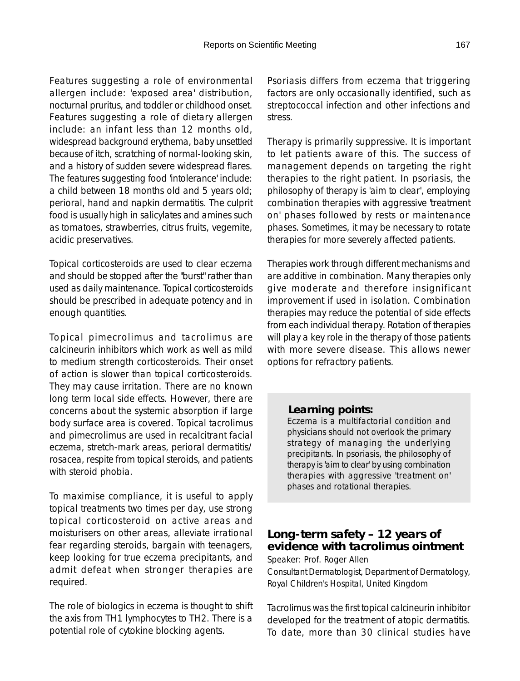Features suggesting a role of environmental allergen include: 'exposed area' distribution, nocturnal pruritus, and toddler or childhood onset. Features suggesting a role of dietary allergen include: an infant less than 12 months old, widespread background erythema, baby unsettled because of itch, scratching of normal-looking skin, and a history of sudden severe widespread flares. The features suggesting food 'intolerance' include: a child between 18 months old and 5 years old; perioral, hand and napkin dermatitis. The culprit food is usually high in salicylates and amines such as tomatoes, strawberries, citrus fruits, vegemite, acidic preservatives.

Topical corticosteroids are used to clear eczema and should be stopped after the "burst" rather than used as daily maintenance. Topical corticosteroids should be prescribed in adequate potency and in enough quantities.

Topical pimecrolimus and tacrolimus are calcineurin inhibitors which work as well as mild to medium strength corticosteroids. Their onset of action is slower than topical corticosteroids. They may cause irritation. There are no known long term local side effects. However, there are concerns about the systemic absorption if large body surface area is covered. Topical tacrolimus and pimecrolimus are used in recalcitrant facial eczema, stretch-mark areas, perioral dermatitis/ rosacea, respite from topical steroids, and patients with steroid phobia.

To maximise compliance, it is useful to apply topical treatments two times per day, use strong topical corticosteroid on active areas and moisturisers on other areas, alleviate irrational fear regarding steroids, bargain with teenagers, keep looking for true eczema precipitants, and admit defeat when stronger therapies are required.

The role of biologics in eczema is thought to shift the axis from TH1 lymphocytes to TH2. There is a potential role of cytokine blocking agents.

Psoriasis differs from eczema that triggering factors are only occasionally identified, such as streptococcal infection and other infections and stress.

Therapy is primarily suppressive. It is important to let patients aware of this. The success of management depends on targeting the right therapies to the right patient. In psoriasis, the philosophy of therapy is 'aim to clear', employing combination therapies with aggressive 'treatment on' phases followed by rests or maintenance phases. Sometimes, it may be necessary to rotate therapies for more severely affected patients.

Therapies work through different mechanisms and are additive in combination. Many therapies only give moderate and therefore insignificant improvement if used in isolation. Combination therapies may reduce the potential of side effects from each individual therapy. Rotation of therapies will play a key role in the therapy of those patients with more severe disease. This allows newer options for refractory patients.

#### *Learning points:*

Eczema is a multifactorial condition and physicians should not overlook the primary strategy of managing the underlying precipitants. In psoriasis, the philosophy of therapy is 'aim to clear' by using combination therapies with aggressive 'treatment on' phases and rotational therapies.

# **Long-term safety – 12 years of evidence with tacrolimus ointment**

Speaker: Prof. Roger Allen

Consultant Dermatologist, Department of Dermatology, Royal Children's Hospital, United Kingdom

Tacrolimus was the first topical calcineurin inhibitor developed for the treatment of atopic dermatitis. To date, more than 30 clinical studies have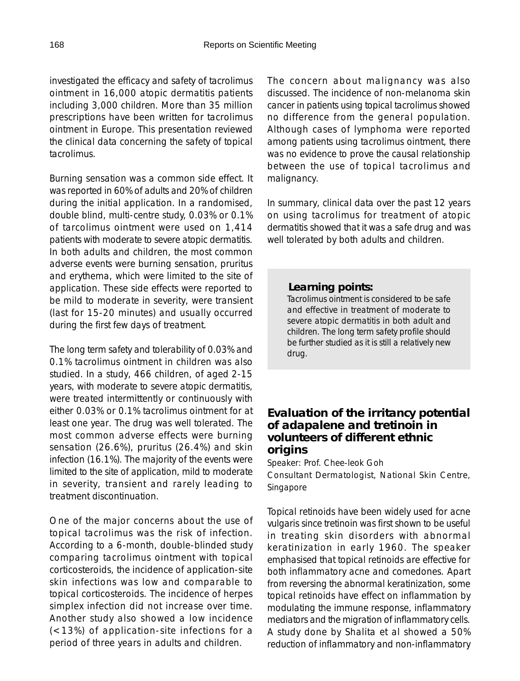investigated the efficacy and safety of tacrolimus ointment in 16,000 atopic dermatitis patients including 3,000 children. More than 35 million prescriptions have been written for tacrolimus ointment in Europe. This presentation reviewed the clinical data concerning the safety of topical tacrolimus.

Burning sensation was a common side effect. It was reported in 60% of adults and 20% of children during the initial application. In a randomised, double blind, multi-centre study, 0.03% or 0.1% of tarcolimus ointment were used on 1,414 patients with moderate to severe atopic dermatitis. In both adults and children, the most common adverse events were burning sensation, pruritus and erythema, which were limited to the site of application. These side effects were reported to be mild to moderate in severity, were transient (last for 15-20 minutes) and usually occurred during the first few days of treatment.

The long term safety and tolerability of 0.03% and 0.1% tacrolimus ointment in children was also studied. In a study, 466 children, of aged 2-15 years, with moderate to severe atopic dermatitis, were treated intermittently or continuously with either 0.03% or 0.1% tacrolimus ointment for at least one year. The drug was well tolerated. The most common adverse effects were burning sensation (26.6%), pruritus (26.4%) and skin infection (16.1%). The majority of the events were limited to the site of application, mild to moderate in severity, transient and rarely leading to treatment discontinuation.

One of the major concerns about the use of topical tacrolimus was the risk of infection. According to a 6-month, double-blinded study comparing tacrolimus ointment with topical corticosteroids, the incidence of application-site skin infections was low and comparable to topical corticosteroids. The incidence of herpes simplex infection did not increase over time. Another study also showed a low incidence (<13%) of application-site infections for a period of three years in adults and children.

The concern about malignancy was also discussed. The incidence of non-melanoma skin cancer in patients using topical tacrolimus showed no difference from the general population. Although cases of lymphoma were reported among patients using tacrolimus ointment, there was no evidence to prove the causal relationship between the use of topical tacrolimus and malignancy.

In summary, clinical data over the past 12 years on using tacrolimus for treatment of atopic dermatitis showed that it was a safe drug and was well tolerated by both adults and children.

## *Learning points:*

Tacrolimus ointment is considered to be safe and effective in treatment of moderate to severe atopic dermatitis in both adult and children. The long term safety profile should be further studied as it is still a relatively new drug.

# **Evaluation of the irritancy potential of adapalene and tretinoin in volunteers of different ethnic origins**

Speaker: Prof. Chee-leok Goh Consultant Dermatologist, National Skin Centre, Singapore

Topical retinoids have been widely used for acne vulgaris since tretinoin was first shown to be useful in treating skin disorders with abnormal keratinization in early 1960. The speaker emphasised that topical retinoids are effective for both inflammatory acne and comedones. Apart from reversing the abnormal keratinization, some topical retinoids have effect on inflammation by modulating the immune response, inflammatory mediators and the migration of inflammatory cells. A study done by Shalita et al showed a 50% reduction of inflammatory and non-inflammatory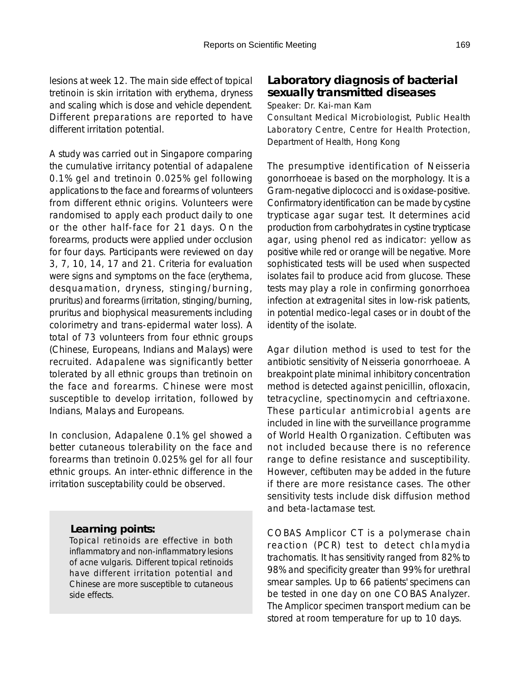lesions at week 12. The main side effect of topical tretinoin is skin irritation with erythema, dryness and scaling which is dose and vehicle dependent. Different preparations are reported to have different irritation potential.

A study was carried out in Singapore comparing the cumulative irritancy potential of adapalene 0.1% gel and tretinoin 0.025% gel following applications to the face and forearms of volunteers from different ethnic origins. Volunteers were randomised to apply each product daily to one or the other half-face for 21 days. On the forearms, products were applied under occlusion for four days. Participants were reviewed on day 3, 7, 10, 14, 17 and 21. Criteria for evaluation were signs and symptoms on the face (erythema, desquamation, dryness, stinging/burning, pruritus) and forearms (irritation, stinging/burning, pruritus and biophysical measurements including colorimetry and trans-epidermal water loss). A total of 73 volunteers from four ethnic groups (Chinese, Europeans, Indians and Malays) were recruited. Adapalene was significantly better tolerated by all ethnic groups than tretinoin on the face and forearms. Chinese were most susceptible to develop irritation, followed by Indians, Malays and Europeans.

In conclusion, Adapalene 0.1% gel showed a better cutaneous tolerability on the face and forearms than tretinoin 0.025% gel for all four ethnic groups. An inter-ethnic difference in the irritation susceptability could be observed.

## *Learning points:*

Topical retinoids are effective in both inflammatory and non-inflammatory lesions of acne vulgaris. Different topical retinoids have different irritation potential and Chinese are more susceptible to cutaneous side effects.

# **Laboratory diagnosis of bacterial sexually transmitted diseases**

Speaker: Dr. Kai-man Kam

Consultant Medical Microbiologist, Public Health Laboratory Centre, Centre for Health Protection, Department of Health, Hong Kong

The presumptive identification of Neisseria gonorrhoeae is based on the morphology. It is a Gram-negative diplococci and is oxidase-positive. Confirmatory identification can be made by cystine trypticase agar sugar test. It determines acid production from carbohydrates in cystine trypticase agar, using phenol red as indicator: yellow as positive while red or orange will be negative. More sophisticated tests will be used when suspected isolates fail to produce acid from glucose. These tests may play a role in confirming gonorrhoea infection at extragenital sites in low-risk patients, in potential medico-legal cases or in doubt of the identity of the isolate.

Agar dilution method is used to test for the antibiotic sensitivity of Neisseria gonorrhoeae. A breakpoint plate minimal inhibitory concentration method is detected against penicillin, ofloxacin, tetracycline, spectinomycin and ceftriaxone. These particular antimicrobial agents are included in line with the surveillance programme of World Health Organization. Ceftibuten was not included because there is no reference range to define resistance and susceptibility. However, ceftibuten may be added in the future if there are more resistance cases. The other sensitivity tests include disk diffusion method and beta-lactamase test.

COBAS Amplicor CT is a polymerase chain reaction (PCR) test to detect chlamydia trachomatis. It has sensitivity ranged from 82% to 98% and specificity greater than 99% for urethral smear samples. Up to 66 patients' specimens can be tested in one day on one COBAS Analyzer. The Amplicor specimen transport medium can be stored at room temperature for up to 10 days.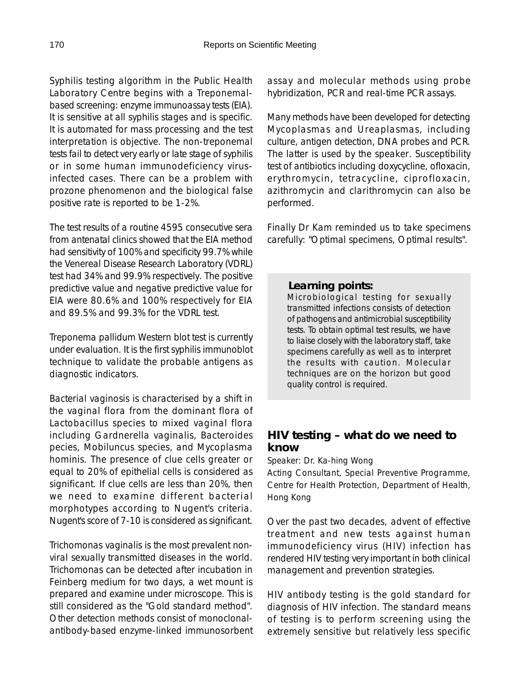Syphilis testing algorithm in the Public Health Laboratory Centre begins with a Treponemalbased screening: enzyme immunoassay tests (EIA). It is sensitive at all syphilis stages and is specific. It is automated for mass processing and the test interpretation is objective. The non-treponemal tests fail to detect very early or late stage of syphilis or in some human immunodeficiency virusinfected cases. There can be a problem with prozone phenomenon and the biological false positive rate is reported to be 1-2%.

The test results of a routine 4595 consecutive sera from antenatal clinics showed that the EIA method had sensitivity of 100% and specificity 99.7% while the Venereal Disease Research Laboratory (VDRL) test had 34% and 99.9% respectively. The positive predictive value and negative predictive value for EIA were 80.6% and 100% respectively for EIA and 89.5% and 99.3% for the VDRL test.

Treponema pallidum Western blot test is currently under evaluation. It is the first syphilis immunoblot technique to validate the probable antigens as diagnostic indicators.

Bacterial vaginosis is characterised by a shift in the vaginal flora from the dominant flora of Lactobacillus species to mixed vaginal flora including Gardnerella vaginalis, Bacteroides pecies, Mobiluncus species, and Mycoplasma hominis. The presence of clue cells greater or equal to 20% of epithelial cells is considered as significant. If clue cells are less than 20%, then we need to examine different bacterial morphotypes according to Nugent's criteria. Nugent's score of 7-10 is considered as significant.

Trichomonas vaginalis is the most prevalent nonviral sexually transmitted diseases in the world. Trichomonas can be detected after incubation in Feinberg medium for two days, a wet mount is prepared and examine under microscope. This is still considered as the "Gold standard method". Other detection methods consist of monoclonalantibody-based enzyme-linked immunosorbent assay and molecular methods using probe hybridization, PCR and real-time PCR assays.

Many methods have been developed for detecting Mycoplasmas and Ureaplasmas, including culture, antigen detection, DNA probes and PCR. The latter is used by the speaker. Susceptibility test of antibiotics including doxycycline, ofloxacin, erythromycin, tetracycline, ciprofloxacin, azithromycin and clarithromycin can also be performed.

Finally Dr Kam reminded us to take specimens carefully: "Optimal specimens, Optimal results".

### *Learning points:*

Microbiological testing for sexually transmitted infections consists of detection of pathogens and antimicrobial susceptibility tests. To obtain optimal test results, we have to liaise closely with the laboratory staff, take specimens carefully as well as to interpret the results with caution. Molecular techniques are on the horizon but good quality control is required.

# **HIV testing – what do we need to know**

Speaker: Dr. Ka-hing Wong

Acting Consultant, Special Preventive Programme, Centre for Health Protection, Department of Health, Hong Kong

Over the past two decades, advent of effective treatment and new tests against human immunodeficiency virus (HIV) infection has rendered HIV testing very important in both clinical management and prevention strategies.

HIV antibody testing is the gold standard for diagnosis of HIV infection. The standard means of testing is to perform screening using the extremely sensitive but relatively less specific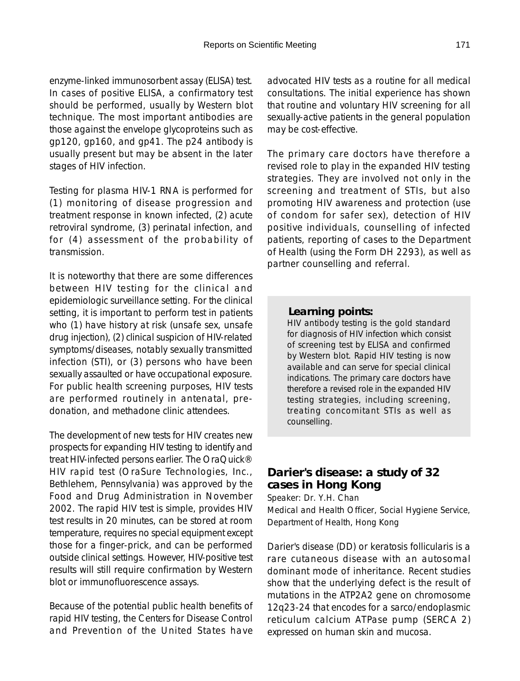enzyme-linked immunosorbent assay (ELISA) test. In cases of positive ELISA, a confirmatory test should be performed, usually by Western blot technique. The most important antibodies are those against the envelope glycoproteins such as gp120, gp160, and gp41. The p24 antibody is usually present but may be absent in the later stages of HIV infection.

Testing for plasma HIV-1 RNA is performed for (1) monitoring of disease progression and treatment response in known infected, (2) acute retroviral syndrome, (3) perinatal infection, and for (4) assessment of the probability of transmission.

It is noteworthy that there are some differences between HIV testing for the clinical and epidemiologic surveillance setting. For the clinical setting, it is important to perform test in patients who (1) have history at risk (unsafe sex, unsafe drug injection), (2) clinical suspicion of HIV-related symptoms/diseases, notably sexually transmitted infection (STI), or (3) persons who have been sexually assaulted or have occupational exposure. For public health screening purposes, HIV tests are performed routinely in antenatal, predonation, and methadone clinic attendees.

The development of new tests for HIV creates new prospects for expanding HIV testing to identify and treat HIV-infected persons earlier. The OraQuick® HIV rapid test (OraSure Technologies, Inc., Bethlehem, Pennsylvania) was approved by the Food and Drug Administration in November 2002. The rapid HIV test is simple, provides HIV test results in 20 minutes, can be stored at room temperature, requires no special equipment except those for a finger-prick, and can be performed outside clinical settings. However, HIV-positive test results will still require confirmation by Western blot or immunofluorescence assays.

Because of the potential public health benefits of rapid HIV testing, the Centers for Disease Control and Prevention of the United States have advocated HIV tests as a routine for all medical consultations. The initial experience has shown that routine and voluntary HIV screening for all sexually-active patients in the general population may be cost-effective.

The primary care doctors have therefore a revised role to play in the expanded HIV testing strategies. They are involved not only in the screening and treatment of STIs, but also promoting HIV awareness and protection (use of condom for safer sex), detection of HIV positive individuals, counselling of infected patients, reporting of cases to the Department of Health (using the Form DH 2293), as well as partner counselling and referral.

#### *Learning points:*

HIV antibody testing is the gold standard for diagnosis of HIV infection which consist of screening test by ELISA and confirmed by Western blot. Rapid HIV testing is now available and can serve for special clinical indications. The primary care doctors have therefore a revised role in the expanded HIV testing strategies, including screening, treating concomitant STIs as well as counselling.

# **Darier's disease: a study of 32 cases in Hong Kong**

Speaker: Dr. Y.H. Chan Medical and Health Officer, Social Hygiene Service, Department of Health, Hong Kong

Darier's disease (DD) or keratosis follicularis is a rare cutaneous disease with an autosomal dominant mode of inheritance. Recent studies show that the underlying defect is the result of mutations in the ATP2A2 gene on chromosome 12q23-24 that encodes for a sarco/endoplasmic reticulum calcium ATPase pump (SERCA 2) expressed on human skin and mucosa.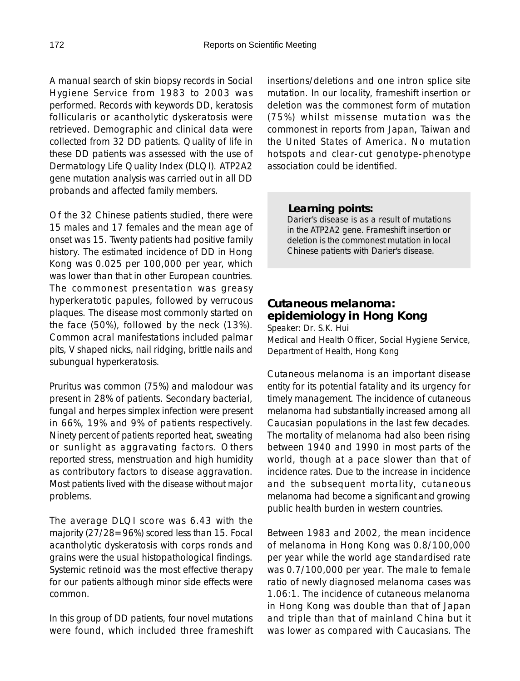A manual search of skin biopsy records in Social Hygiene Service from 1983 to 2003 was performed. Records with keywords DD, keratosis follicularis or acantholytic dyskeratosis were retrieved. Demographic and clinical data were collected from 32 DD patients. Quality of life in these DD patients was assessed with the use of Dermatology Life Quality Index (DLQI). ATP2A2 gene mutation analysis was carried out in all DD probands and affected family members.

Of the 32 Chinese patients studied, there were 15 males and 17 females and the mean age of onset was 15. Twenty patients had positive family history. The estimated incidence of DD in Hong Kong was 0.025 per 100,000 per year, which was lower than that in other European countries. The commonest presentation was greasy hyperkeratotic papules, followed by verrucous plaques. The disease most commonly started on the face (50%), followed by the neck (13%). Common acral manifestations included palmar pits, V shaped nicks, nail ridging, brittle nails and subungual hyperkeratosis.

Pruritus was common (75%) and malodour was present in 28% of patients. Secondary bacterial, fungal and herpes simplex infection were present in 66%, 19% and 9% of patients respectively. Ninety percent of patients reported heat, sweating or sunlight as aggravating factors. Others reported stress, menstruation and high humidity as contributory factors to disease aggravation. Most patients lived with the disease without major problems.

The average DLQI score was 6.43 with the majority (27/28=96%) scored less than 15. Focal acantholytic dyskeratosis with corps ronds and grains were the usual histopathological findings. Systemic retinoid was the most effective therapy for our patients although minor side effects were common.

In this group of DD patients, four novel mutations were found, which included three frameshift insertions/deletions and one intron splice site mutation. In our locality, frameshift insertion or deletion was the commonest form of mutation (75%) whilst missense mutation was the commonest in reports from Japan, Taiwan and the United States of America. No mutation hotspots and clear-cut genotype-phenotype association could be identified.

#### *Learning points:*

Darier's disease is as a result of mutations in the ATP2A2 gene. Frameshift insertion or deletion is the commonest mutation in local Chinese patients with Darier's disease.

# **Cutaneous melanoma: epidemiology in Hong Kong**

Speaker: Dr. S.K. Hui Medical and Health Officer, Social Hygiene Service, Department of Health, Hong Kong

Cutaneous melanoma is an important disease entity for its potential fatality and its urgency for timely management. The incidence of cutaneous melanoma had substantially increased among all Caucasian populations in the last few decades. The mortality of melanoma had also been rising between 1940 and 1990 in most parts of the world, though at a pace slower than that of incidence rates. Due to the increase in incidence and the subsequent mortality, cutaneous melanoma had become a significant and growing public health burden in western countries.

Between 1983 and 2002, the mean incidence of melanoma in Hong Kong was 0.8/100,000 per year while the world age standardised rate was 0.7/100,000 per year. The male to female ratio of newly diagnosed melanoma cases was 1.06:1. The incidence of cutaneous melanoma in Hong Kong was double than that of Japan and triple than that of mainland China but it was lower as compared with Caucasians. The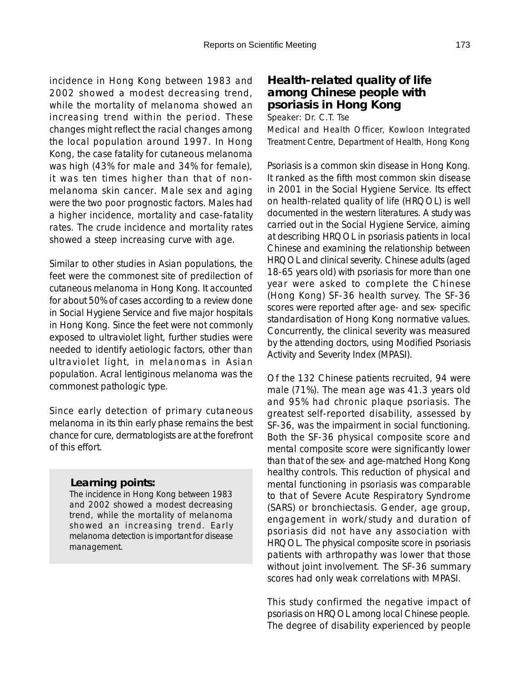incidence in Hong Kong between 1983 and 2002 showed a modest decreasing trend, while the mortality of melanoma showed an increasing trend within the period. These changes might reflect the racial changes among the local population around 1997. In Hong Kong, the case fatality for cutaneous melanoma was high (43% for male and 34% for female), it was ten times higher than that of nonmelanoma skin cancer. Male sex and aging were the two poor prognostic factors. Males had a higher incidence, mortality and case-fatality rates. The crude incidence and mortality rates showed a steep increasing curve with age.

Similar to other studies in Asian populations, the feet were the commonest site of predilection of cutaneous melanoma in Hong Kong. It accounted for about 50% of cases according to a review done in Social Hygiene Service and five major hospitals in Hong Kong. Since the feet were not commonly exposed to ultraviolet light, further studies were needed to identify aetiologic factors, other than ultraviolet light, in melanomas in Asian population. Acral lentiginous melanoma was the commonest pathologic type.

Since early detection of primary cutaneous melanoma in its thin early phase remains the best chance for cure, dermatologists are at the forefront of this effort.

#### *Learning points:*

The incidence in Hong Kong between 1983 and 2002 showed a modest decreasing trend, while the mortality of melanoma showed an increasing trend. Early melanoma detection is important for disease management.

# **Health-related quality of life among Chinese people with psoriasis in Hong Kong**

Speaker: Dr. C.T. Tse

Medical and Health Officer, Kowloon Integrated Treatment Centre, Department of Health, Hong Kong

Psoriasis is a common skin disease in Hong Kong. It ranked as the fifth most common skin disease in 2001 in the Social Hygiene Service. Its effect on health-related quality of life (HRQOL) is well documented in the western literatures. A study was carried out in the Social Hygiene Service, aiming at describing HRQOL in psoriasis patients in local Chinese and examining the relationship between HRQOL and clinical severity. Chinese adults (aged 18-65 years old) with psoriasis for more than one year were asked to complete the Chinese (Hong Kong) SF-36 health survey. The SF-36 scores were reported after age- and sex- specific standardisation of Hong Kong normative values. Concurrently, the clinical severity was measured by the attending doctors, using Modified Psoriasis Activity and Severity Index (MPASI).

Of the 132 Chinese patients recruited, 94 were male (71%). The mean age was 41.3 years old and 95% had chronic plaque psoriasis. The greatest self-reported disability, assessed by SF-36, was the impairment in social functioning. Both the SF-36 physical composite score and mental composite score were significantly lower than that of the sex- and age-matched Hong Kong healthy controls. This reduction of physical and mental functioning in psoriasis was comparable to that of Severe Acute Respiratory Syndrome (SARS) or bronchiectasis. Gender, age group, engagement in work/study and duration of psoriasis did not have any association with HRQOL. The physical composite score in psoriasis patients with arthropathy was lower that those without joint involvement. The SF-36 summary scores had only weak correlations with MPASI.

This study confirmed the negative impact of psoriasis on HRQOL among local Chinese people. The degree of disability experienced by people